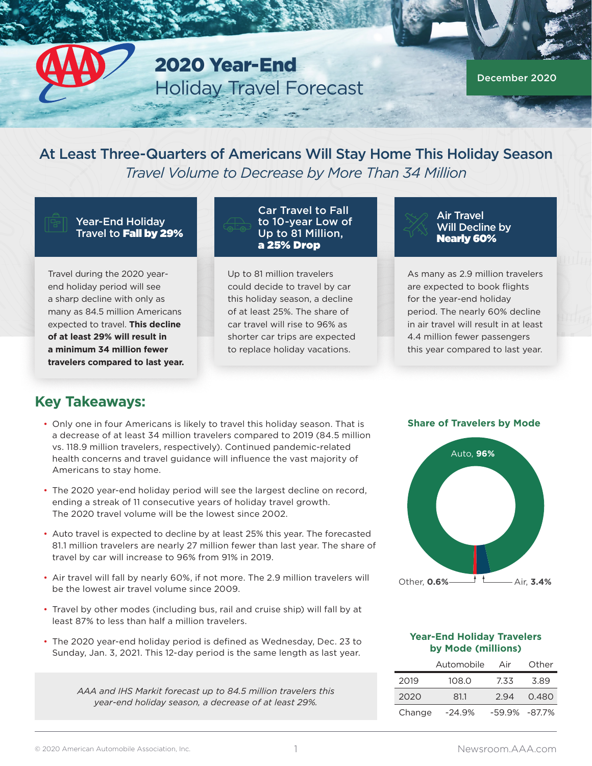2020 Year-End Holiday Travel Forecast

December 2020

At Least Three-Quarters of Americans Will Stay Home This Holiday Season *Travel Volume to Decrease by More Than 34 Million*

Year-End Holiday Travel to Fall by 29%

Travel during the 2020 yearend holiday period will see a sharp decline with only as many as 84.5 million Americans expected to travel. **This decline of at least 29% will result in a minimum 34 million fewer travelers compared to last year.** Car Travel to Fall to 10-year Low of Up to 81 Million, a 25% Drop

Up to 81 million travelers could decide to travel by car this holiday season, a decline of at least 25%. The share of car travel will rise to 96% as shorter car trips are expected to replace holiday vacations.

Air Travel Will Decline by Nearly 60%

As many as 2.9 million travelers are expected to book flights for the year-end holiday period. The nearly 60% decline in air travel will result in at least 4.4 million fewer passengers this year compared to last year.

#### **Key Takeaways:**

- Only one in four Americans is likely to travel this holiday season. That is a decrease of at least 34 million travelers compared to 2019 (84.5 million vs. 118.9 million travelers, respectively). Continued pandemic-related health concerns and travel guidance will influence the vast majority of Americans to stay home.
- The 2020 year-end holiday period will see the largest decline on record, ending a streak of 11 consecutive years of holiday travel growth. The 2020 travel volume will be the lowest since 2002.
- Auto travel is expected to decline by at least 25% this year. The forecasted 81.1 million travelers are nearly 27 million fewer than last year. The share of travel by car will increase to 96% from 91% in 2019.
- Air travel will fall by nearly 60%, if not more. The 2.9 million travelers will be the lowest air travel volume since 2009.
- Travel by other modes (including bus, rail and cruise ship) will fall by at least 87% to less than half a million travelers.
- The 2020 year-end holiday period is defined as Wednesday, Dec. 23 to Sunday, Jan. 3, 2021. This 12-day period is the same length as last year.

*AAA and IHS Markit forecast up to 84.5 million travelers this year-end holiday season, a decrease of at least 29%.*

#### **Share of Travelers by Mode**



#### **Year-End Holiday Travelers by Mode (millions)**

|        | Automobile | Air               | Other |
|--------|------------|-------------------|-------|
| 2019   | 108.0      | 7.33              | 3.89  |
| 2020   | 81.1       | 294               | 0.480 |
| Change | $-24.9\%$  | $-59.9\% -87.7\%$ |       |